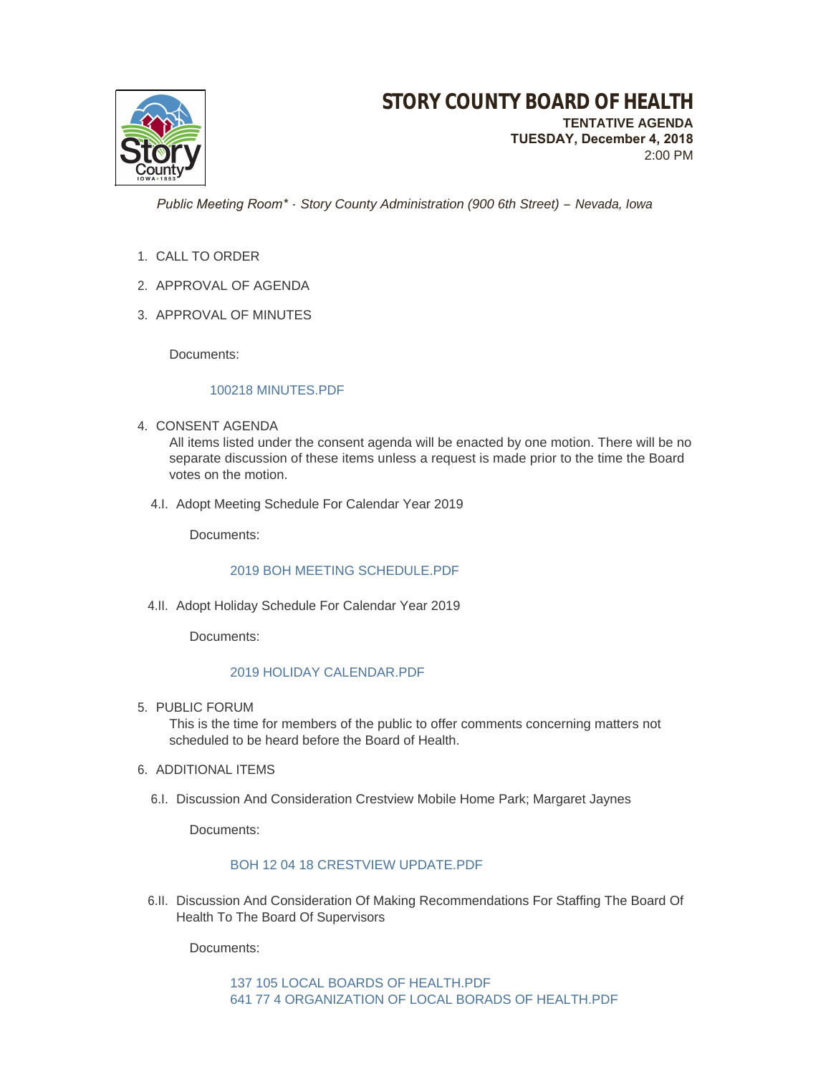

2:00 PM

 *Public Meeting Room\* - Story County Administration (900 6th Street) – Nevada, Iowa*

- 1. CALL TO ORDER
- 2. APPROVAL OF AGENDA
- 3. APPROVAL OF MINUTES

Documents:

### [100218 MINUTES.PDF](http://www.storycountyiowa.gov/AgendaCenter/ViewFile/Item/13288?fileID=10230)

4. CONSENT AGENDA

All items listed under the consent agenda will be enacted by one motion. There will be no separate discussion of these items unless a request is made prior to the time the Board votes on the motion.

4.I. Adopt Meeting Schedule For Calendar Year 2019

Documents:

### 2019 BOH MEETING SCHEDULE PDF

4.II. Adopt Holiday Schedule For Calendar Year 2019

Documents:

## [2019 HOLIDAY CALENDAR.PDF](http://www.storycountyiowa.gov/AgendaCenter/ViewFile/Item/13284?fileID=10224)

5. PUBLIC FORUM

This is the time for members of the public to offer comments concerning matters not scheduled to be heard before the Board of Health.

- 6. ADDITIONAL ITEMS
	- 6.I. Discussion And Consideration Crestview Mobile Home Park; Margaret Jaynes

Documents:

# [BOH 12 04 18 CRESTVIEW UPDATE.PDF](http://www.storycountyiowa.gov/AgendaCenter/ViewFile/Item/13281?fileID=10233)

6.II. Discussion And Consideration Of Making Recommendations For Staffing The Board Of Health To The Board Of Supervisors

Documents: